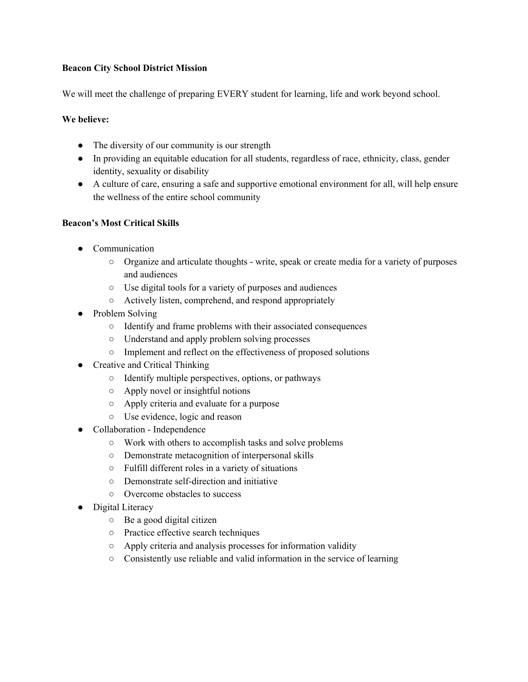### **Beacon City School District Mission**

We will meet the challenge of preparing EVERY student for learning, life and work beyond school.

#### **We believe:**

- The diversity of our community is our strength
- In providing an equitable education for all students, regardless of race, ethnicity, class, gender identity, sexuality or disability
- A culture of care, ensuring a safe and supportive emotional environment for all, will help ensure the wellness of the entire school community

## **Beacon's Most Critical Skills**

- Communication
	- Organize and articulate thoughts write, speak or create media for a variety of purposes and audiences
	- Use digital tools for a variety of purposes and audiences
	- Actively listen, comprehend, and respond appropriately
- Problem Solving
	- Identify and frame problems with their associated consequences
	- Understand and apply problem solving processes
	- Implement and reflect on the effectiveness of proposed solutions
- Creative and Critical Thinking
	- Identify multiple perspectives, options, or pathways
	- Apply novel or insightful notions
	- Apply criteria and evaluate for a purpose
	- Use evidence, logic and reason
- Collaboration Independence
	- Work with others to accomplish tasks and solve problems
	- Demonstrate metacognition of interpersonal skills
	- Fulfill different roles in a variety of situations
	- Demonstrate self-direction and initiative
	- Overcome obstacles to success
- Digital Literacy
	- Be a good digital citizen
	- Practice effective search techniques
	- Apply criteria and analysis processes for information validity
	- Consistently use reliable and valid information in the service of learning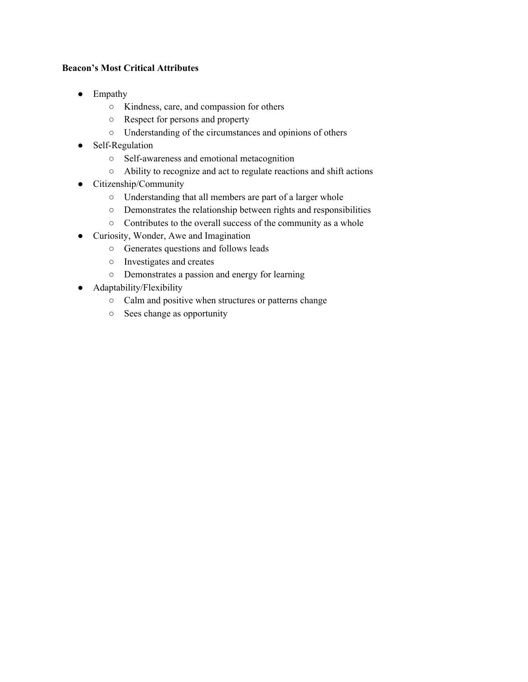## **Beacon's Most Critical Attributes**

- Empathy
	- Kindness, care, and compassion for others
	- Respect for persons and property
	- Understanding of the circumstances and opinions of others
- Self-Regulation
	- Self-awareness and emotional metacognition
	- Ability to recognize and act to regulate reactions and shift actions
- Citizenship/Community
	- Understanding that all members are part of a larger whole
	- Demonstrates the relationship between rights and responsibilities
	- Contributes to the overall success of the community as a whole
- Curiosity, Wonder, Awe and Imagination
	- Generates questions and follows leads
	- Investigates and creates
	- Demonstrates a passion and energy for learning
- Adaptability/Flexibility
	- Calm and positive when structures or patterns change
	- Sees change as opportunity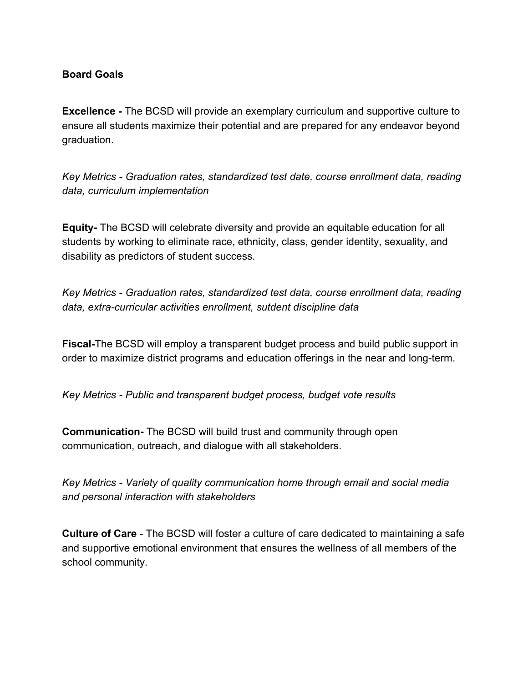# **Board Goals**

**Excellence -** The BCSD will provide an exemplary curriculum and supportive culture to ensure all students maximize their potential and are prepared for any endeavor beyond graduation.

*Key Metrics - Graduation rates, standardized test date, course enrollment data, reading data, curriculum implementation*

**Equity-** The BCSD will celebrate diversity and provide an equitable education for all students by working to eliminate race, ethnicity, class, gender identity, sexuality, and disability as predictors of student success.

*Key Metrics - Graduation rates, standardized test data, course enrollment data, reading data, extra-curricular activities enrollment, sutdent discipline data*

**Fiscal-**The BCSD will employ a transparent budget process and build public support in order to maximize district programs and education offerings in the near and long-term.

*Key Metrics - Public and transparent budget process, budget vote results*

**Communication-** The BCSD will build trust and community through open communication, outreach, and dialogue with all stakeholders.

*Key Metrics - Variety of quality communication home through email and social media and personal interaction with stakeholders*

**Culture of Care** - The BCSD will foster a culture of care dedicated to maintaining a safe and supportive emotional environment that ensures the wellness of all members of the school community.